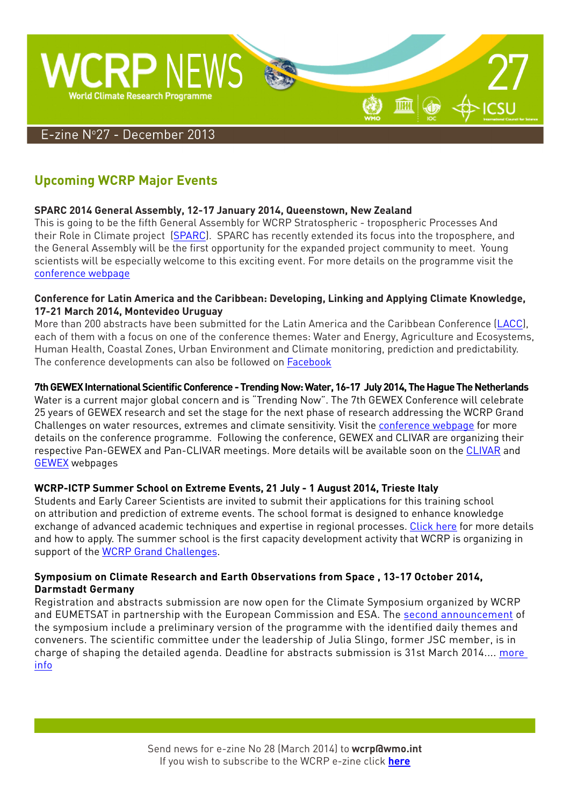

# **Upcoming WCRP Major Events**

#### **SPARC 2014 General Assembly, 12-17 January 2014, Queenstown, New Zealand**

This is going to be the fifth General Assembly for WCRP Stratospheric - tropospheric Processes And their Role in Climate project [\(SPARC](http://www.sparc-climate.org/)). SPARC has recently extended its focus into the troposphere, and the General Assembly will be the first opportunity for the expanded project community to meet. Young scientists will be especially welcome to this exciting event. For more details on the programme visit the [conference webpage](http://www.sparc2014.org/)

#### **Conference for Latin America and the Caribbean: Developing, Linking and Applying Climate Knowledge, 17-21 March 2014, Montevideo Uruguay**

More than 200 abstracts have been submitted for the Latin America and the Caribbean Conference [\(LACC](http://www.cima.fcen.uba.ar/WCRP/)), each of them with a focus on one of the conference themes: Water and Energy, Agriculture and Ecosystems, Human Health, Coastal Zones, Urban Environment and Climate monitoring, prediction and predictability. [T](http://www.cima.fcen.uba.ar/WCRP/)he conference developments can also be followed on [Facebook](https://www.facebook.com/wcrp.lac.2014)

#### **7th GEWEX International Scientific Conference - Trending Now: Water, 16-17 July 2014, The Hague The Netherlands**

Water is a current major global concern and is "Trending Now". The 7th GEWEX Conference will celebrate 25 years of GEWEX research and set the stage for the next phase of research addressing the WCRP Grand Challenges on water resources, extremes and climate sensitivity. Visit the [conference webpage](http://gewex.org/2014conf/home.html) for more details on the conference programme. Following the conference, GEWEX and CLIVAR are organizing their respective Pan-GEWEX and Pan-CLIVAR meetings. More details will be available soon on the [CLIVAR](http://www.clivar.org/) and [GEWEX](http://www.gewex.org/) webpages

#### **WCRP-ICTP Summer School on Extreme Events, 21 July - 1 August 2014, Trieste Italy**

Students and Early Career Scientists are invited to submit their applications for this training school on attribution and prediction of extreme events. The school format is designed to enhance knowledge exchange of advanced academic techniques and expertise in regional processes. [Click here](http://www.wcrp-climate.org/index.php/ictp2014-about) for more details and how to apply. The summer school is the first capacity development activity that WCRP is organizing in support of the [WCRP Grand Challenges.](http://www.wcrp-climate.org/index.php/grand-challenges)

#### **Symposium on Climate Research and Earth Observations from Space , 13-17 October 2014, Darmstadt Germany**

Registration and abstracts submission are now open for the Climate Symposium organized by WCRP and EUMETSAT in partnership with the European Commission and ESA. The [second announcement](http://www.wcrp-climate.org/images/documents/news/climatesymposium_2ndAnn_v06.pdf) of the symposium include a preliminary version of the programme with the identified daily themes and conveners. The scientific committee under the leadership of Julia Slingo, former JSC member, is in charge of shaping the detailed agenda. Deadline for abstracts submission is 31st March 2014.... [more](http://www.theclimatesymposium2014.com/)  [info](http://www.theclimatesymposium2014.com/)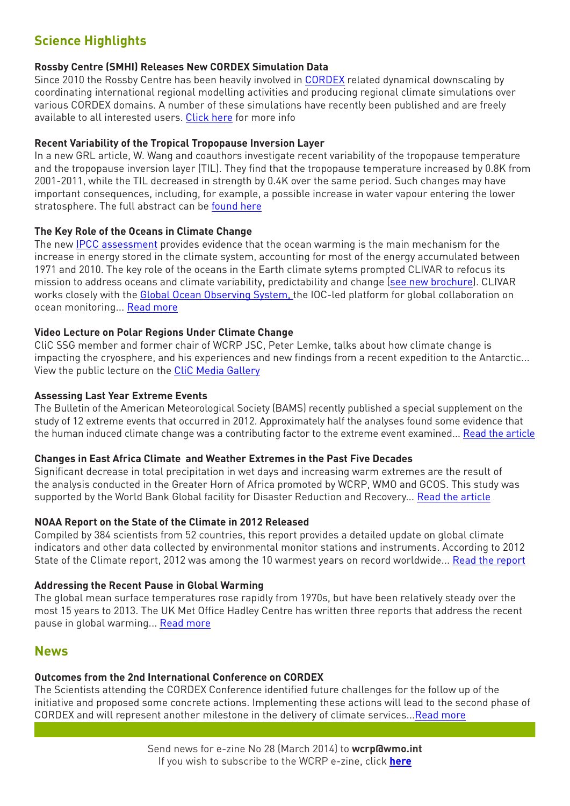# **Science Highlights**

#### **Rossby Centre (SMHI) Releases New CORDEX Simulation Data**

Since 2010 the Rossby Centre has been heavily involved in [CORDEX](http://wcrp-cordex.ipsl.jussieu.fr/) related dynamical downscaling by coordinating international regional modelling activities and producing regional climate simulations over various CORDEX domains. A number of these simulations have recently been published and are freely available to all interested users. [Click here](http://www.smhi.se/en/Research/Research-departments/climate-research-rossby-centre2-552/rossby-centre-publishes-new-cordex-regional-climate-simulation-data-1.32776) for more info

#### **Recent Variability of the Tropical Tropopause Inversion Layer**

In a new GRL article, W. Wang and coauthors investigate recent variability of the tropopause temperature and the tropopause inversion layer (TIL). They find that the tropopause temperature increased by 0.8K from 2001-2011, while the TIL decreased in strength by 0.4K over the same period. Such changes may have important consequences, including, for example, a possible increase in water vapour entering the lower stratosphere. The full abstract can be [found here](http://onlinelibrary.wiley.com/doi/10.1002/2013GL058350/abstract;jsessionid=F77E9A3AE7BF3D5CB84809F45512FC42.f04t03)

#### **The Key Role of the Oceans in Climate Change**

The new [IPCC assessment](http://www.climatechange2013.org/) provides evidence that the ocean warming is the main mechanism for the increase in energy stored in the climate system, accounting for most of the energy accumulated between 1971 and 2010. The key role of the oceans in the Earth climate sytems prompted CLIVAR to refocus its mission to address oceans and climate variability, predictability and change ([see new brochure](http://www.clivar.org/sites/default/files/Brochure/CLIVAR%20Brochure_2013_V5.pdf)). CLIVAR works closely with the [Global Ocean Observing System,](http://www.ioc-goos.org/) the IOC-led platform for global collaboration on ocean monitoring... [Read more](http://www.unesco.org/new/en/natural-sciences/ioc-oceans/single-view-oceans/news/what_the_ocean_can_reveal_about_human_influence_on_the_climate/#.UrBtgyhrJJW)

#### **Video Lecture on Polar Regions Under Climate Change**

CliC SSG member and former chair of WCRP JSC, Peter Lemke, talks about how climate change is impacting the cryosphere, and his experiences and new findings from a recent expedition to the Antarctic... View the public lecture on the [CliC Media Gallery](http://www.climate-cryosphere.org/media-gallery/941-polar-regions-under-climate-change-peter-lemke)

#### **Assessing Last Year Extreme Events**

The Bulletin of the American Meteorological Society (BAMS) recently published a special supplement on the study of 12 extreme events that occurred in 2012. Approximately half the analyses found some evidence that the human induced climate change was a contributing factor to the extreme event examined... [Read the article](http://www.ametsoc.org/2012extremeeventsclimate.pdf)

#### **Changes in East Africa Climate and Weather Extremes in the Past Five Decades**

Significant decrease in total precipitation in wet days and increasing warm extremes are the result of the analysis conducted in the Greater Horn of Africa promoted by WCRP, WMO and GCOS. This study was supported by the World Bank Global facility for Disaster Reduction and Recovery... [Read the article](http://www.wcrp-climate.org/images/documents/news/ChangesTemperatureGHA.pdf)

#### **NOAA Report on the State of the Climate in 2012 Released**

Compiled by 384 scientists from 52 countries, this report provides a detailed update on global climate indicators and other data collected by environmental monitor stations and instruments. According to 2012 State of the Climate report, 2012 was among the 10 warmest years on record worldwide... [Read the report](http://www.ncdc.noaa.gov/bams-state-of-the-climate/2012.php)

#### **Addressing the Recent Pause in Global Warming**

The global mean surface temperatures rose rapidly from 1970s, but have been relatively steady over the most 15 years to 2013. The UK Met Office Hadley Centre has written three reports that address the recent pause in global warming... [Read more](http://www.metoffice.gov.uk/research/news/recent-pause-in-warming)

### **News**

## **Outcomes from the 2nd International Conference on CORDEX**

The Scientists attending the CORDEX Conference identified future challenges for the follow up of the initiative and proposed some concrete actions. Implementing these actions will lead to the second phase of CORDEX and will represent another milestone in the delivery of climate services... [Read more](http://www.wcrp-climate.org/images/documents/news/cordex_challenges.pdf)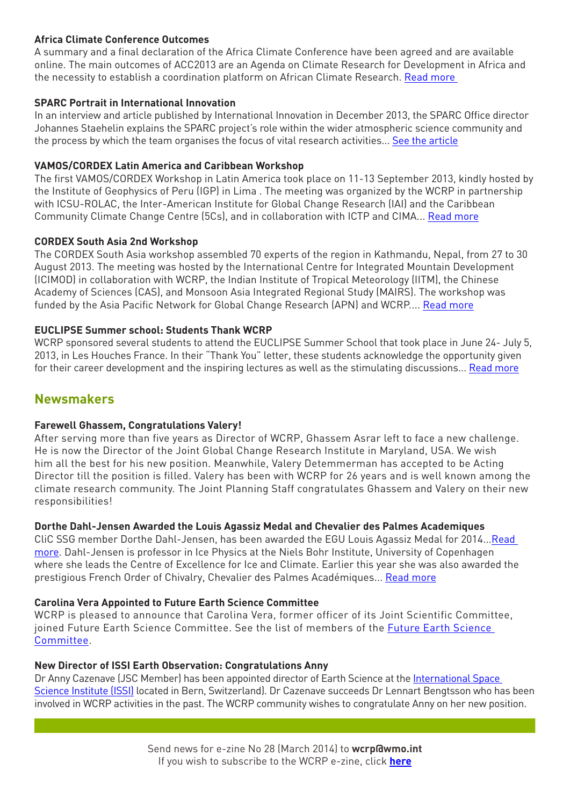#### **Africa Climate Conference Outcomes**

A summary and a final declaration of the Africa Climate Conference have been agreed and are available online. The main outcomes of ACC2013 are an Agenda on Climate Research for Development in Africa and the necessity to establish a coordination platform on African Climate Research. [Read more](http://www.clivar.org/resources/news/africa-climate-conference-outcomes) 

#### **SPARC Portrait in International Innovation**

In an interview and article published by International Innovation in December 2013, the SPARC Office director Johannes Staehelin explains the SPARC project's role within the wider atmospheric science community and the process by which the team organises the focus of vital research activities... [See the article](http://www.sparc-climate.org/fileadmin/customer/7_News/News_PDF/InternationalInnovation_p42-44_SPARC_Dec2013.pdf)

#### **VAMOS/CORDEX Latin America and Caribbean Workshop**

The first VAMOS/CORDEX Workshop in Latin America took place on 11-13 September 2013, kindly hosted by the Institute of Geophysics of Peru (IGP) in Lima . The meeting was organized by the WCRP in partnership with ICSU-ROLAC, the Inter-American Institute for Global Change Research (IAI) and the Caribbean Community Climate Change Centre (5Cs), and in collaboration with ICTP and CIMA... [Read more](http://www.wcrp-climate.org/images/documents/news/WCRPnews_27092013.pdf)

#### **CORDEX South Asia 2nd Workshop**

The CORDEX South Asia workshop assembled 70 experts of the region in Kathmandu, Nepal, from 27 to 30 August 2013. The meeting was hosted by the International Centre for Integrated Mountain Development (ICIMOD) in collaboration with WCRP, the Indian Institute of Tropical Meteorology (IITM), the Chinese Academy of Sciences (CAS), and Monsoon Asia Integrated Regional Study (MAIRS). The workshop was funded by the Asia Pacific Network for Global Change Research (APN) and WCRP.... [Read more](http://cccr.tropmet.res.in/workshop/cordex2013/docs/CORDEX-SA_Workshop_Summary_30_Aug_2013.pdf)

#### **EUCLIPSE Summer school: Students Thank WCRP**

WCRP sponsored several students to attend the EUCLIPSE Summer School that took place in June 24- July 5, 2013, in Les Houches France. In their "Thank You" letter, these students acknowledge the opportunity given for their career development and the inspiring lectures as well as the stimulating discussions... [Read more](http://www.wcrp-climate.org/images/documents/news/WCRPnews_27082013.pdf)

## **Newsmakers**

#### **Farewell Ghassem, Congratulations Valery!**

After serving more than five years as Director of WCRP, Ghassem Asrar left to face a new challenge. He is now the Director of the Joint Global Change Research Institute in Maryland, USA. We wish him all the best for his new position. Meanwhile, Valery Detemmerman has accepted to be Acting Director till the position is filled. Valery has been with WCRP for 26 years and is well known among the climate research community. The Joint Planning Staff congratulates Ghassem and Valery on their new responsibilities!

#### **Dorthe Dahl-Jensen Awarded the Louis Agassiz Medal and Chevalier des Palmes Academiques**

CliC SSG member Dorthe Dahl-Jensen, has been awarded the EGU Louis Agassiz Medal for 2014...[Read](http://www.egu.eu/news/79/)  [more.](http://www.egu.eu/news/79/) Dahl-Jensen is professor in Ice Physics at the Niels Bohr Institute, University of Copenhagen where she leads the Centre of Excellence for Ice and Climate. Earlier this year she was also awarded the prestigious French Order of Chivalry, Chevalier des Palmes Académiques... [Read more](http://www.nbi.ku.dk/english/namely_names/2012/jens-joergen-gaardhoeje-and-dorthe-dahl-jensen-receive-french-order-of-chivalry/)

#### **Carolina Vera Appointed to Future Earth Science Committee**

WCRP is pleased to announce that Carolina Vera, former officer of its Joint Scientific Committee, joined Future Earth Science Committee. See the list of members of the [Future Earth Science](http://www.icsu.org/future-earth/who/future-earth-science-committee)  [Committee.](http://www.icsu.org/future-earth/who/future-earth-science-committee)

#### **New Director of ISSI Earth Observation: Congratulations Anny**

Dr Anny Cazenave (JSC Member) has been appointed director of Earth Science at the [International Space](http://www.issibern.ch/)  [Science Institute \(ISSI\)](http://www.issibern.ch/) located in Bern, Switzerland). Dr Cazenave succeeds Dr Lennart Bengtsson who has been involved in WCRP activities in the past. The WCRP community wishes to congratulate Anny on her new position.